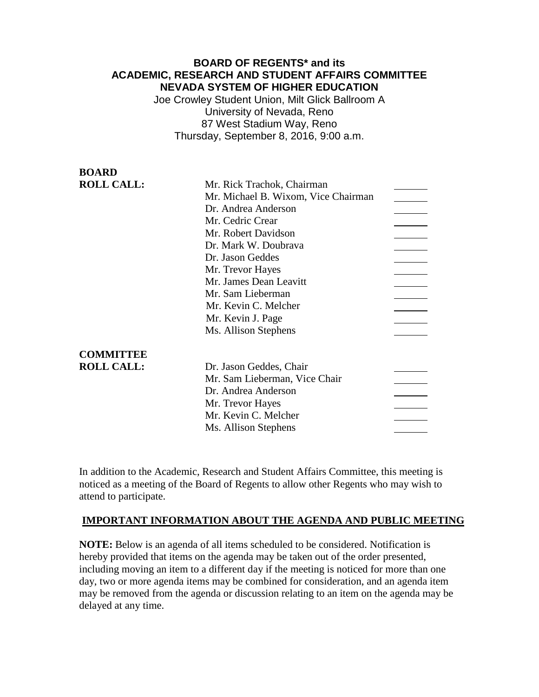# **BOARD OF REGENTS\* and its ACADEMIC, RESEARCH AND STUDENT AFFAIRS COMMITTEE NEVADA SYSTEM OF HIGHER EDUCATION**

Joe Crowley Student Union, Milt Glick Ballroom A University of Nevada, Reno 87 West Stadium Way, Reno Thursday, September 8, 2016, 9:00 a.m.

| <b>BOARD</b>      |                                     |  |
|-------------------|-------------------------------------|--|
| <b>ROLL CALL:</b> | Mr. Rick Trachok, Chairman          |  |
|                   | Mr. Michael B. Wixom, Vice Chairman |  |
|                   | Dr. Andrea Anderson                 |  |
|                   | Mr. Cedric Crear                    |  |
|                   | Mr. Robert Davidson                 |  |
|                   | Dr. Mark W. Doubrava                |  |
|                   | Dr. Jason Geddes                    |  |
|                   | Mr. Trevor Hayes                    |  |
|                   | Mr. James Dean Leavitt              |  |
|                   | Mr. Sam Lieberman                   |  |
|                   | Mr. Kevin C. Melcher                |  |
|                   | Mr. Kevin J. Page                   |  |
|                   | Ms. Allison Stephens                |  |
| <b>COMMITTEE</b>  |                                     |  |
| <b>ROLL CALL:</b> | Dr. Jason Geddes, Chair             |  |
|                   | Mr. Sam Lieberman, Vice Chair       |  |
|                   | Dr. Andrea Anderson                 |  |
|                   | Mr. Trevor Hayes                    |  |
|                   | Mr. Kevin C. Melcher                |  |
|                   | Ms. Allison Stephens                |  |
|                   |                                     |  |

In addition to the Academic, Research and Student Affairs Committee, this meeting is noticed as a meeting of the Board of Regents to allow other Regents who may wish to attend to participate.

## **IMPORTANT INFORMATION ABOUT THE AGENDA AND PUBLIC MEETING**

**NOTE:** Below is an agenda of all items scheduled to be considered. Notification is hereby provided that items on the agenda may be taken out of the order presented, including moving an item to a different day if the meeting is noticed for more than one day, two or more agenda items may be combined for consideration, and an agenda item may be removed from the agenda or discussion relating to an item on the agenda may be delayed at any time.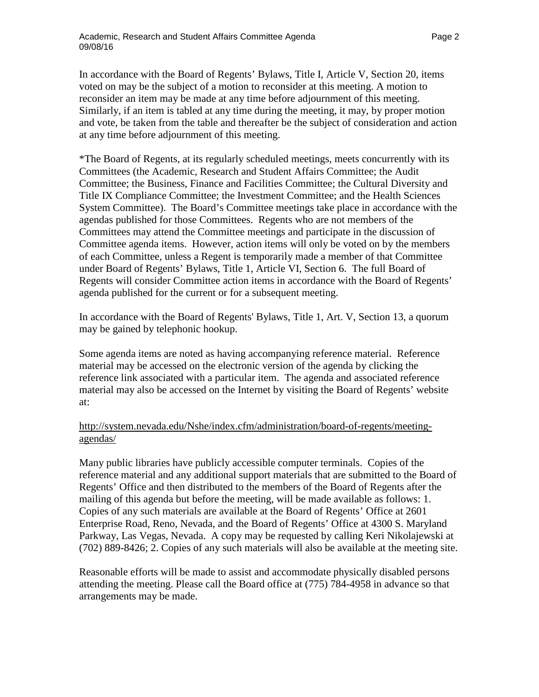In accordance with the Board of Regents' Bylaws, Title I, Article V, Section 20, items voted on may be the subject of a motion to reconsider at this meeting. A motion to reconsider an item may be made at any time before adjournment of this meeting. Similarly, if an item is tabled at any time during the meeting, it may, by proper motion and vote, be taken from the table and thereafter be the subject of consideration and action at any time before adjournment of this meeting.

\*The Board of Regents, at its regularly scheduled meetings, meets concurrently with its Committees (the Academic, Research and Student Affairs Committee; the Audit Committee; the Business, Finance and Facilities Committee; the Cultural Diversity and Title IX Compliance Committee; the Investment Committee; and the Health Sciences System Committee). The Board's Committee meetings take place in accordance with the agendas published for those Committees. Regents who are not members of the Committees may attend the Committee meetings and participate in the discussion of Committee agenda items. However, action items will only be voted on by the members of each Committee, unless a Regent is temporarily made a member of that Committee under Board of Regents' Bylaws, Title 1, Article VI, Section 6. The full Board of Regents will consider Committee action items in accordance with the Board of Regents' agenda published for the current or for a subsequent meeting.

In accordance with the Board of Regents' Bylaws, Title 1, Art. V, Section 13, a quorum may be gained by telephonic hookup.

Some agenda items are noted as having accompanying reference material. Reference material may be accessed on the electronic version of the agenda by clicking the reference link associated with a particular item. The agenda and associated reference material may also be accessed on the Internet by visiting the Board of Regents' website at:

## [http://system.nevada.edu/Nshe/index.cfm/administration/board-of-regents/meeting](http://system.nevada.edu/Nshe/index.cfm/administration/board-of-regents/meeting-agendas/)[agendas/](http://system.nevada.edu/Nshe/index.cfm/administration/board-of-regents/meeting-agendas/)

Many public libraries have publicly accessible computer terminals. Copies of the reference material and any additional support materials that are submitted to the Board of Regents' Office and then distributed to the members of the Board of Regents after the mailing of this agenda but before the meeting, will be made available as follows: 1. Copies of any such materials are available at the Board of Regents' Office at 2601 Enterprise Road, Reno, Nevada, and the Board of Regents' Office at 4300 S. Maryland Parkway, Las Vegas, Nevada. A copy may be requested by calling Keri Nikolajewski at (702) 889-8426; 2. Copies of any such materials will also be available at the meeting site.

Reasonable efforts will be made to assist and accommodate physically disabled persons attending the meeting. Please call the Board office at (775) 784-4958 in advance so that arrangements may be made.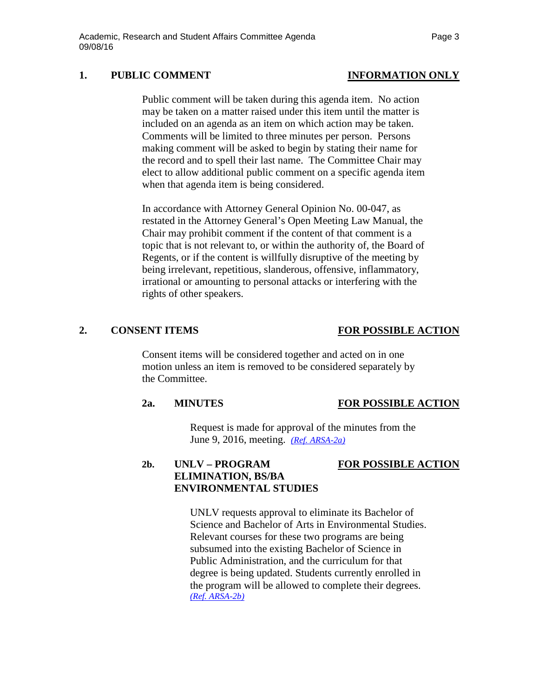## 1. PUBLIC COMMENT **INFORMATION** ONLY

Public comment will be taken during this agenda item. No action may be taken on a matter raised under this item until the matter is included on an agenda as an item on which action may be taken. Comments will be limited to three minutes per person. Persons making comment will be asked to begin by stating their name for the record and to spell their last name. The Committee Chair may elect to allow additional public comment on a specific agenda item when that agenda item is being considered.

In accordance with Attorney General Opinion No. 00-047, as restated in the Attorney General's Open Meeting Law Manual, the Chair may prohibit comment if the content of that comment is a topic that is not relevant to, or within the authority of, the Board of Regents, or if the content is willfully disruptive of the meeting by being irrelevant, repetitious, slanderous, offensive, inflammatory, irrational or amounting to personal attacks or interfering with the rights of other speakers.

## **2. CONSENT ITEMS FOR POSSIBLE ACTION**

Consent items will be considered together and acted on in one motion unless an item is removed to be considered separately by the Committee.

## **2a. MINUTES FOR POSSIBLE ACTION**

Request is made for approval of the minutes from the June 9, 2016, meeting. *[\(Ref. ARSA-2a\)](http://system.nevada.edu/tasks/sites/Nshe/assets/File/BoardOfRegents/Agendas/2016/sept-mtgs/arsa-refs/ARSA-2a.pdf)*

## **2b. UNLV – PROGRAM FOR POSSIBLE ACTION ELIMINATION, BS/BA ENVIRONMENTAL STUDIES**

UNLV requests approval to eliminate its Bachelor of Science and Bachelor of Arts in Environmental Studies. Relevant courses for these two programs are being subsumed into the existing Bachelor of Science in Public Administration, and the curriculum for that degree is being updated. Students currently enrolled in the program will be allowed to complete their degrees. *[\(Ref. ARSA-2b\)](http://system.nevada.edu/tasks/sites/Nshe/assets/File/BoardOfRegents/Agendas/2016/sept-mtgs/arsa-refs/ARSA-2b.pdf)*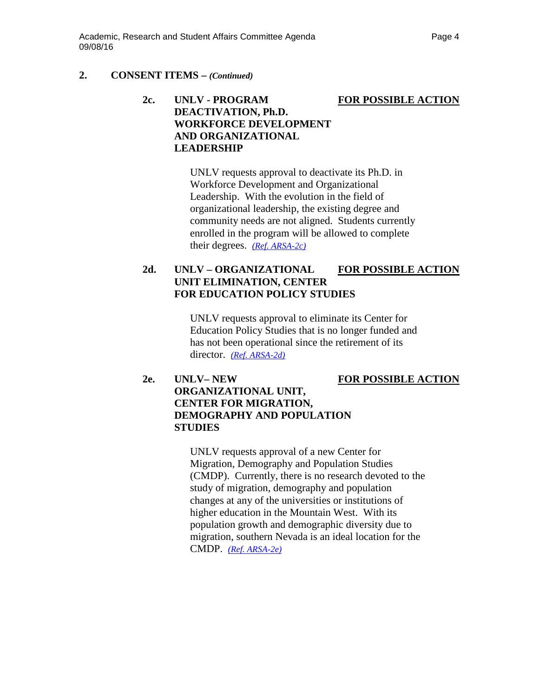# **2c. UNLV - PROGRAM FOR POSSIBLE ACTION DEACTIVATION, Ph.D. WORKFORCE DEVELOPMENT AND ORGANIZATIONAL LEADERSHIP**

UNLV requests approval to deactivate its Ph.D. in Workforce Development and Organizational Leadership. With the evolution in the field of organizational leadership, the existing degree and community needs are not aligned. Students currently enrolled in the program will be allowed to complete their degrees. *[\(Ref. ARSA-2c\)](http://system.nevada.edu/tasks/sites/Nshe/assets/File/BoardOfRegents/Agendas/2016/sept-mtgs/arsa-refs/ARSA-2c.pdf)*

# **2d. UNLV – ORGANIZATIONAL FOR POSSIBLE ACTION UNIT ELIMINATION, CENTER FOR EDUCATION POLICY STUDIES**

UNLV requests approval to eliminate its Center for Education Policy Studies that is no longer funded and has not been operational since the retirement of its director. *[\(Ref. ARSA-2d\)](http://system.nevada.edu/tasks/sites/Nshe/assets/File/BoardOfRegents/Agendas/2016/sept-mtgs/arsa-refs/ARSA-2d.pdf)*

# **2e. UNLV– NEW FOR POSSIBLE ACTION ORGANIZATIONAL UNIT, CENTER FOR MIGRATION, DEMOGRAPHY AND POPULATION STUDIES**

UNLV requests approval of a new Center for Migration, Demography and Population Studies (CMDP). Currently, there is no research devoted to the study of migration, demography and population changes at any of the universities or institutions of higher education in the Mountain West. With its population growth and demographic diversity due to migration, southern Nevada is an ideal location for the CMDP. *[\(Ref. ARSA-2e\)](http://system.nevada.edu/tasks/sites/Nshe/assets/File/BoardOfRegents/Agendas/2016/sept-mtgs/arsa-refs/ARSA-2e.pdf)*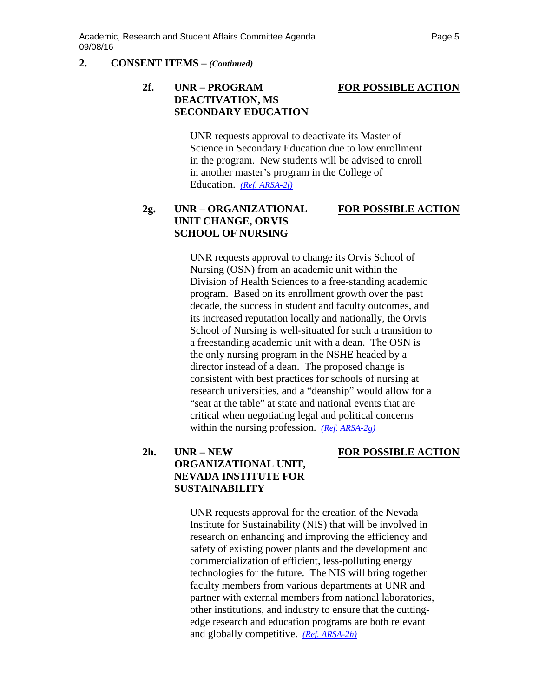# **2f. UNR – PROGRAM FOR POSSIBLE ACTION DEACTIVATION, MS SECONDARY EDUCATION**

UNR requests approval to deactivate its Master of Science in Secondary Education due to low enrollment in the program. New students will be advised to enroll in another master's program in the College of Education. *[\(Ref. ARSA-2f\)](http://system.nevada.edu/tasks/sites/Nshe/assets/File/BoardOfRegents/Agendas/2016/sept-mtgs/arsa-refs/ARSA-2f.pdf)*

# **2g. UNR – ORGANIZATIONAL FOR POSSIBLE ACTION UNIT CHANGE, ORVIS SCHOOL OF NURSING**

UNR requests approval to change its Orvis School of Nursing (OSN) from an academic unit within the Division of Health Sciences to a free-standing academic program. Based on its enrollment growth over the past decade, the success in student and faculty outcomes, and its increased reputation locally and nationally, the Orvis School of Nursing is well-situated for such a transition to a freestanding academic unit with a dean. The OSN is the only nursing program in the NSHE headed by a director instead of a dean. The proposed change is consistent with best practices for schools of nursing at research universities, and a "deanship" would allow for a "seat at the table" at state and national events that are critical when negotiating legal and political concerns within the nursing profession. *[\(Ref. ARSA-2g\)](http://system.nevada.edu/tasks/sites/Nshe/assets/File/BoardOfRegents/Agendas/2016/sept-mtgs/arsa-refs/ARSA-2g.pdf)* 

# **2h. UNR – NEW FOR POSSIBLE ACTION ORGANIZATIONAL UNIT, NEVADA INSTITUTE FOR SUSTAINABILITY**

UNR requests approval for the creation of the Nevada Institute for Sustainability (NIS) that will be involved in research on enhancing and improving the efficiency and safety of existing power plants and the development and commercialization of efficient, less-polluting energy technologies for the future. The NIS will bring together faculty members from various departments at UNR and partner with external members from national laboratories, other institutions, and industry to ensure that the cuttingedge research and education programs are both relevant and globally competitive. *[\(Ref. ARSA-2h\)](http://system.nevada.edu/tasks/sites/Nshe/assets/File/BoardOfRegents/Agendas/2016/sept-mtgs/arsa-refs/ARSA-2h.pdf)*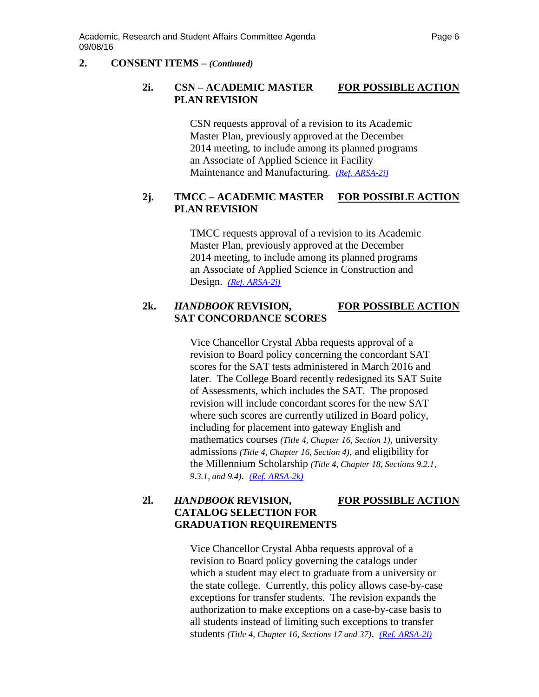## **2i. CSN – ACADEMIC MASTER FOR POSSIBLE ACTION PLAN REVISION**

CSN requests approval of a revision to its Academic Master Plan, previously approved at the December 2014 meeting, to include among its planned programs an Associate of Applied Science in Facility Maintenance and Manufacturing. *(Ref. [ARSA-2i\)](http://system.nevada.edu/tasks/sites/Nshe/assets/File/BoardOfRegents/Agendas/2016/sept-mtgs/arsa-refs/ARSA-2i.pdf)*

## **2j. TMCC – ACADEMIC MASTER FOR POSSIBLE ACTION PLAN REVISION**

TMCC requests approval of a revision to its Academic Master Plan, previously approved at the December 2014 meeting, to include among its planned programs an Associate of Applied Science in Construction and Design. *(Ref. [ARSA-2j\)](http://system.nevada.edu/tasks/sites/Nshe/assets/File/BoardOfRegents/Agendas/2016/sept-mtgs/arsa-refs/ARSA-2j.pdf)*

# **2k.** *HANDBOOK* **REVISION, FOR POSSIBLE ACTION SAT CONCORDANCE SCORES**

Vice Chancellor Crystal Abba requests approval of a revision to Board policy concerning the concordant SAT scores for the SAT tests administered in March 2016 and later. The College Board recently redesigned its SAT Suite of Assessments, which includes the SAT. The proposed revision will include concordant scores for the new SAT where such scores are currently utilized in Board policy, including for placement into gateway English and mathematics courses *(Title 4, Chapter 16, Section 1)*, university admissions *(Title 4, Chapter 16, Section 4)*, and eligibility for the Millennium Scholarship *(Title 4, Chapter 18, Sections 9.2.1, 9.3.1, and 9.4)*. *(Ref. [ARSA-2k\)](http://system.nevada.edu/tasks/sites/Nshe/assets/File/BoardOfRegents/Agendas/2016/sept-mtgs/arsa-refs/ARSA-2k.pdf)*

## **2l.** *HANDBOOK* **REVISION, FOR POSSIBLE ACTION CATALOG SELECTION FOR GRADUATION REQUIREMENTS**

Vice Chancellor Crystal Abba requests approval of a revision to Board policy governing the catalogs under which a student may elect to graduate from a university or the state college. Currently, this policy allows case-by-case exceptions for transfer students. The revision expands the authorization to make exceptions on a case-by-case basis to all students instead of limiting such exceptions to transfer students *(Title 4, Chapter 16, Sections 17 and 37)*. *(Ref. [ARSA-2l\)](http://system.nevada.edu/tasks/sites/Nshe/assets/File/BoardOfRegents/Agendas/2016/sept-mtgs/arsa-refs/ARSA-2l.pdf)*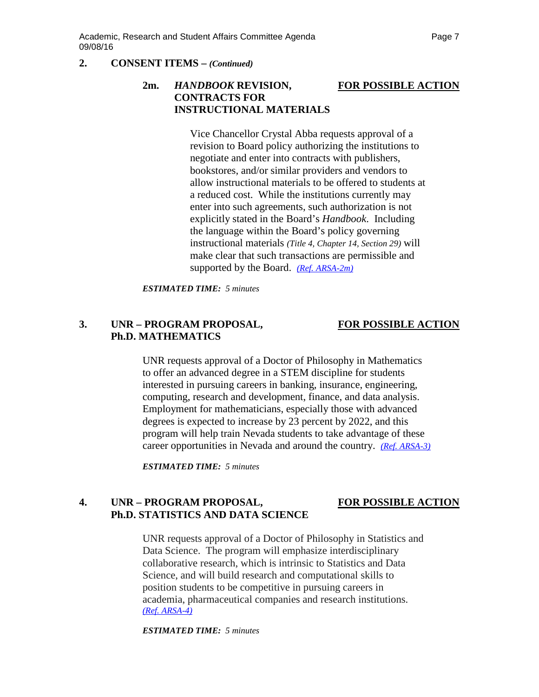# **2m.** *HANDBOOK* **REVISION, FOR POSSIBLE ACTION CONTRACTS FOR INSTRUCTIONAL MATERIALS**

Vice Chancellor Crystal Abba requests approval of a revision to Board policy authorizing the institutions to negotiate and enter into contracts with publishers, bookstores, and/or similar providers and vendors to allow instructional materials to be offered to students at a reduced cost. While the institutions currently may enter into such agreements, such authorization is not explicitly stated in the Board's *Handbook*. Including the language within the Board's policy governing instructional materials *(Title 4, Chapter 14, Section 29)* will make clear that such transactions are permissible and supported by the Board. *(Ref. [ARSA-2m\)](http://system.nevada.edu/tasks/sites/Nshe/assets/File/BoardOfRegents/Agendas/2016/sept-mtgs/arsa-refs/ARSA-2m.pdf)*

*ESTIMATED TIME: 5 minutes*

# **3. UNR – PROGRAM PROPOSAL, FOR POSSIBLE ACTION Ph.D. MATHEMATICS**

UNR requests approval of a Doctor of Philosophy in Mathematics to offer an advanced degree in a STEM discipline for students interested in pursuing careers in banking, insurance, engineering, computing, research and development, finance, and data analysis. Employment for mathematicians, especially those with advanced degrees is expected to increase by 23 percent by 2022, and this program will help train Nevada students to take advantage of these career opportunities in Nevada and around the country. *[\(Ref. ARSA-3\)](http://system.nevada.edu/tasks/sites/Nshe/assets/File/BoardOfRegents/Agendas/2016/sept-mtgs/arsa-refs/ARSA-3.pdf)* 

*ESTIMATED TIME: 5 minutes*

# **4. UNR – PROGRAM PROPOSAL, FOR POSSIBLE ACTION Ph.D. STATISTICS AND DATA SCIENCE**

UNR requests approval of a Doctor of Philosophy in Statistics and Data Science. The program will emphasize interdisciplinary collaborative research, which is intrinsic to Statistics and Data Science, and will build research and computational skills to position students to be competitive in pursuing careers in academia, pharmaceutical companies and research institutions. *[\(Ref. ARSA-4\)](http://system.nevada.edu/tasks/sites/Nshe/assets/File/BoardOfRegents/Agendas/2016/sept-mtgs/arsa-refs/ARSA-4.pdf)*

*ESTIMATED TIME: 5 minutes*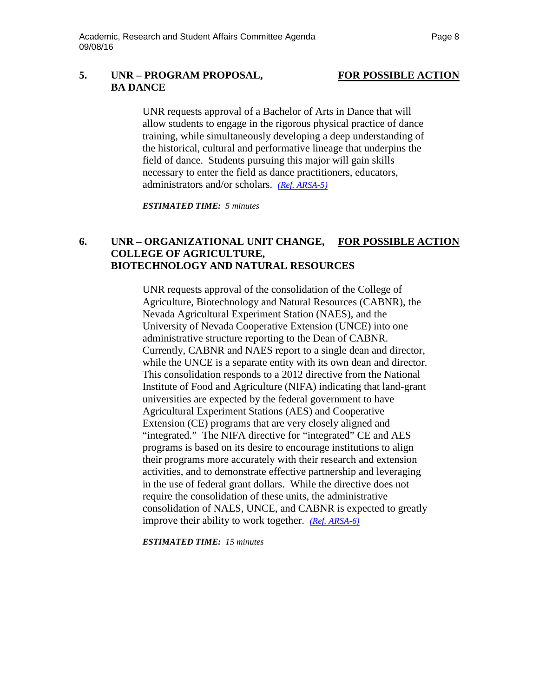## **5. UNR – PROGRAM PROPOSAL, FOR POSSIBLE ACTION BA DANCE**

UNR requests approval of a Bachelor of Arts in Dance that will allow students to engage in the rigorous physical practice of dance training, while simultaneously developing a deep understanding of the historical, cultural and performative lineage that underpins the field of dance. Students pursuing this major will gain skills necessary to enter the field as dance practitioners, educators, administrators and/or scholars. *[\(Ref. ARSA-5\)](http://system.nevada.edu/tasks/sites/Nshe/assets/File/BoardOfRegents/Agendas/2016/sept-mtgs/arsa-refs/ARSA-5.pdf)*

*ESTIMATED TIME: 5 minutes*

## **6. UNR – ORGANIZATIONAL UNIT CHANGE, FOR POSSIBLE ACTION COLLEGE OF AGRICULTURE, BIOTECHNOLOGY AND NATURAL RESOURCES**

UNR requests approval of the consolidation of the College of Agriculture, Biotechnology and Natural Resources (CABNR), the Nevada Agricultural Experiment Station (NAES), and the University of Nevada Cooperative Extension (UNCE) into one administrative structure reporting to the Dean of CABNR. Currently, CABNR and NAES report to a single dean and director, while the UNCE is a separate entity with its own dean and director. This consolidation responds to a 2012 directive from the National Institute of Food and Agriculture (NIFA) indicating that land-grant universities are expected by the federal government to have Agricultural Experiment Stations (AES) and Cooperative Extension (CE) programs that are very closely aligned and "integrated." The NIFA directive for "integrated" CE and AES programs is based on its desire to encourage institutions to align their programs more accurately with their research and extension activities, and to demonstrate effective partnership and leveraging in the use of federal grant dollars. While the directive does not require the consolidation of these units, the administrative consolidation of NAES, UNCE, and CABNR is expected to greatly improve their ability to work together. *[\(Ref. ARSA-6\)](http://system.nevada.edu/tasks/sites/Nshe/assets/File/BoardOfRegents/Agendas/2016/sept-mtgs/arsa-refs/ARSA-6.pdf)*

*ESTIMATED TIME: 15 minutes*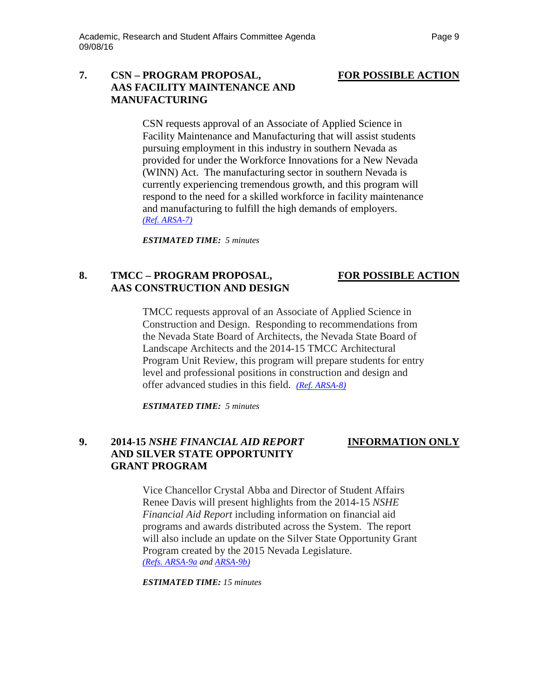## **7. CSN – PROGRAM PROPOSAL, FOR POSSIBLE ACTION AAS FACILITY MAINTENANCE AND MANUFACTURING**

CSN requests approval of an Associate of Applied Science in Facility Maintenance and Manufacturing that will assist students pursuing employment in this industry in southern Nevada as provided for under the Workforce Innovations for a New Nevada (WINN) Act. The manufacturing sector in southern Nevada is currently experiencing tremendous growth, and this program will respond to the need for a skilled workforce in facility maintenance and manufacturing to fulfill the high demands of employers. *(Ref. [ARSA-7\)](http://system.nevada.edu/tasks/sites/Nshe/assets/File/BoardOfRegents/Agendas/2016/sept-mtgs/arsa-refs/ARSA-7.pdf)*

*ESTIMATED TIME: 5 minutes*

# **8. TMCC – PROGRAM PROPOSAL, FOR POSSIBLE ACTION AAS CONSTRUCTION AND DESIGN**

TMCC requests approval of an Associate of Applied Science in Construction and Design. Responding to recommendations from the Nevada State Board of Architects, the Nevada State Board of Landscape Architects and the 2014-15 TMCC Architectural Program Unit Review, this program will prepare students for entry level and professional positions in construction and design and offer advanced studies in this field. *(Ref. [ARSA-8\)](http://system.nevada.edu/tasks/sites/Nshe/assets/File/BoardOfRegents/Agendas/2016/sept-mtgs/arsa-refs/ARSA-8.pdf)*

*ESTIMATED TIME: 5 minutes*

# **9. 2014-15** *NSHE FINANCIAL AID REPORT* **INFORMATION ONLY AND SILVER STATE OPPORTUNITY GRANT PROGRAM**

Vice Chancellor Crystal Abba and Director of Student Affairs Renee Davis will present highlights from the 2014-15 *NSHE Financial Aid Report* including information on financial aid programs and awards distributed across the System. The report will also include an update on the Silver State Opportunity Grant Program created by the 2015 Nevada Legislature. *(Refs. [ARSA-9a](http://system.nevada.edu/tasks/sites/Nshe/assets/File/BoardOfRegents/Agendas/2016/sept-mtgs/arsa-refs/ARSA-9a.pdf) and [ARSA-9b\)](http://system.nevada.edu/tasks/sites/Nshe/assets/File/BoardOfRegents/Agendas/2016/sept-mtgs/arsa-refs/ARSA-9b.pdf)*

*ESTIMATED TIME: 15 minutes*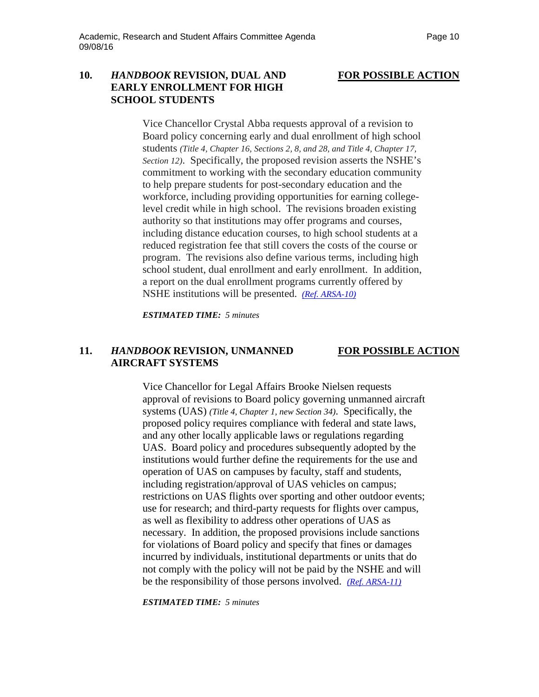### **10.** *HANDBOOK* **REVISION, DUAL AND FOR POSSIBLE ACTION EARLY ENROLLMENT FOR HIGH SCHOOL STUDENTS**

Vice Chancellor Crystal Abba requests approval of a revision to Board policy concerning early and dual enrollment of high school students *(Title 4, Chapter 16, Sections 2, 8, and 28, and Title 4, Chapter 17, Section 12)*. Specifically, the proposed revision asserts the NSHE's commitment to working with the secondary education community to help prepare students for post-secondary education and the workforce, including providing opportunities for earning collegelevel credit while in high school. The revisions broaden existing authority so that institutions may offer programs and courses, including distance education courses, to high school students at a reduced registration fee that still covers the costs of the course or program. The revisions also define various terms, including high school student, dual enrollment and early enrollment. In addition, a report on the dual enrollment programs currently offered by NSHE institutions will be presented. *[\(Ref. ARSA-10\)](http://system.nevada.edu/tasks/sites/Nshe/assets/File/BoardOfRegents/Agendas/2016/sept-mtgs/arsa-refs/ARSA-10.pdf)*

*ESTIMATED TIME: 5 minutes*

## **11.** *HANDBOOK* **REVISION, UNMANNED FOR POSSIBLE ACTION AIRCRAFT SYSTEMS**

Vice Chancellor for Legal Affairs Brooke Nielsen requests approval of revisions to Board policy governing unmanned aircraft systems (UAS) *(Title 4, Chapter 1, new Section 34)*. Specifically, the proposed policy requires compliance with federal and state laws, and any other locally applicable laws or regulations regarding UAS. Board policy and procedures subsequently adopted by the institutions would further define the requirements for the use and operation of UAS on campuses by faculty, staff and students, including registration/approval of UAS vehicles on campus; restrictions on UAS flights over sporting and other outdoor events; use for research; and third-party requests for flights over campus, as well as flexibility to address other operations of UAS as necessary. In addition, the proposed provisions include sanctions for violations of Board policy and specify that fines or damages incurred by individuals, institutional departments or units that do not comply with the policy will not be paid by the NSHE and will be the responsibility of those persons involved. *[\(Ref. ARSA-11\)](http://system.nevada.edu/tasks/sites/Nshe/assets/File/BoardOfRegents/Agendas/2016/sept-mtgs/arsa-refs/ARSA-11.pdf)*

*ESTIMATED TIME: 5 minutes*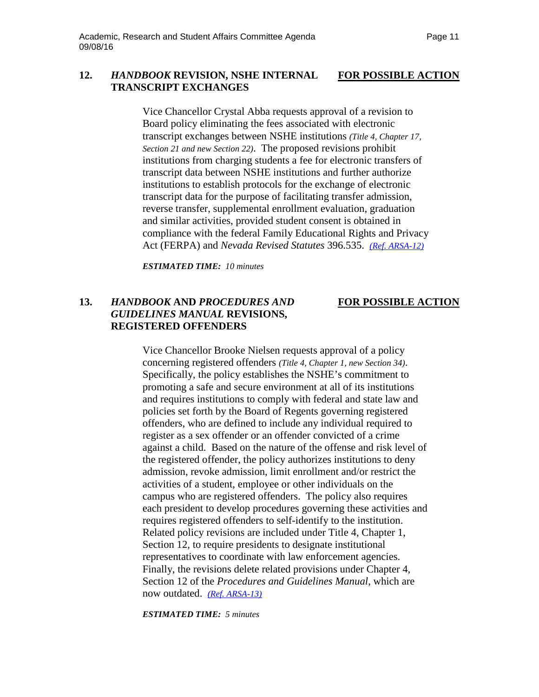## **12.** *HANDBOOK* **REVISION, NSHE INTERNAL FOR POSSIBLE ACTION TRANSCRIPT EXCHANGES**

Vice Chancellor Crystal Abba requests approval of a revision to Board policy eliminating the fees associated with electronic transcript exchanges between NSHE institutions *(Title 4, Chapter 17, Section 21 and new Section 22)*. The proposed revisions prohibit institutions from charging students a fee for electronic transfers of transcript data between NSHE institutions and further authorize institutions to establish protocols for the exchange of electronic transcript data for the purpose of facilitating transfer admission, reverse transfer, supplemental enrollment evaluation, graduation and similar activities, provided student consent is obtained in compliance with the federal Family Educational Rights and Privacy Act (FERPA) and *Nevada Revised Statutes* 396.535. *[\(Ref. ARSA-12\)](http://system.nevada.edu/tasks/sites/Nshe/assets/File/BoardOfRegents/Agendas/2016/sept-mtgs/arsa-refs/ARSA-12.pdf)*

*ESTIMATED TIME: 10 minutes*

# **13.** *HANDBOOK* **AND** *PROCEDURES AND* **FOR POSSIBLE ACTION** *GUIDELINES MANUAL* **REVISIONS, REGISTERED OFFENDERS**

Vice Chancellor Brooke Nielsen requests approval of a policy concerning registered offenders *(Title 4, Chapter 1, new Section 34)*. Specifically, the policy establishes the NSHE's commitment to promoting a safe and secure environment at all of its institutions and requires institutions to comply with federal and state law and policies set forth by the Board of Regents governing registered offenders, who are defined to include any individual required to register as a sex offender or an offender convicted of a crime against a child. Based on the nature of the offense and risk level of the registered offender, the policy authorizes institutions to deny admission, revoke admission, limit enrollment and/or restrict the activities of a student, employee or other individuals on the campus who are registered offenders. The policy also requires each president to develop procedures governing these activities and requires registered offenders to self-identify to the institution. Related policy revisions are included under Title 4, Chapter 1, Section 12, to require presidents to designate institutional representatives to coordinate with law enforcement agencies. Finally, the revisions delete related provisions under Chapter 4, Section 12 of the *Procedures and Guidelines Manual*, which are now outdated. *[\(Ref. ARSA-13\)](http://system.nevada.edu/tasks/sites/Nshe/assets/File/BoardOfRegents/Agendas/2016/sept-mtgs/arsa-refs/ARSA-13.pdf)*

*ESTIMATED TIME: 5 minutes*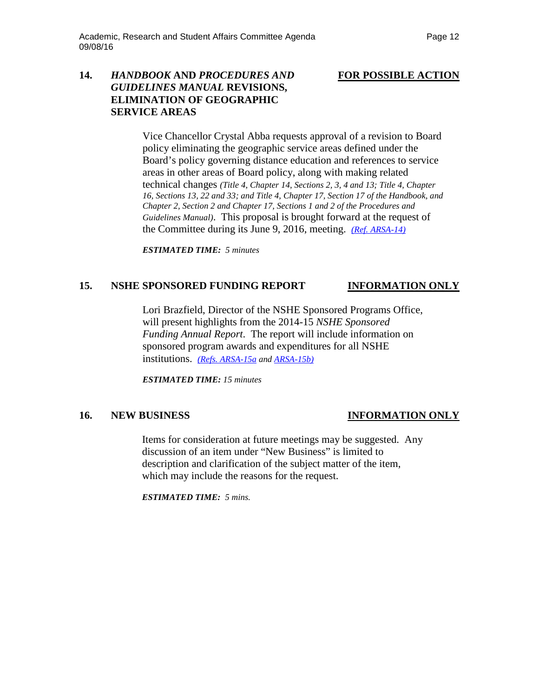# **14.** *HANDBOOK* **AND** *PROCEDURES AND* **FOR POSSIBLE ACTION** *GUIDELINES MANUAL* **REVISIONS, ELIMINATION OF GEOGRAPHIC SERVICE AREAS**

Vice Chancellor Crystal Abba requests approval of a revision to Board policy eliminating the geographic service areas defined under the Board's policy governing distance education and references to service areas in other areas of Board policy, along with making related technical changes *(Title 4, Chapter 14, Sections 2, 3, 4 and 13; Title 4, Chapter 16, Sections 13, 22 and 33; and Title 4, Chapter 17, Section 17 of the Handbook, and Chapter 2, Section 2 and Chapter 17, Sections 1 and 2 of the Procedures and Guidelines Manual)*. This proposal is brought forward at the request of the Committee during its June 9, 2016, meeting. *[\(Ref. ARSA-14\)](http://system.nevada.edu/tasks/sites/Nshe/assets/File/BoardOfRegents/Agendas/2016/sept-mtgs/arsa-refs/ARSA-14.pdf)*

*ESTIMATED TIME: 5 minutes*

## **15. NSHE SPONSORED FUNDING REPORT INFORMATION ONLY**

Lori Brazfield, Director of the NSHE Sponsored Programs Office, will present highlights from the 2014-15 *NSHE Sponsored Funding Annual Report*. The report will include information on sponsored program awards and expenditures for all NSHE institutions. *(Refs. [ARSA-15a](http://system.nevada.edu/tasks/sites/Nshe/assets/File/BoardOfRegents/Agendas/2016/sept-mtgs/arsa-refs/ARSA-15a.pdf) an[d ARSA-15b\)](http://system.nevada.edu/tasks/sites/Nshe/assets/File/BoardOfRegents/Agendas/2016/sept-mtgs/arsa-refs/ARSA-15b.pdf)*

*ESTIMATED TIME: 15 minutes*

## **16. NEW BUSINESS INFORMATION ONLY**

Items for consideration at future meetings may be suggested. Any discussion of an item under "New Business" is limited to description and clarification of the subject matter of the item, which may include the reasons for the request.

*ESTIMATED TIME: 5 mins.*